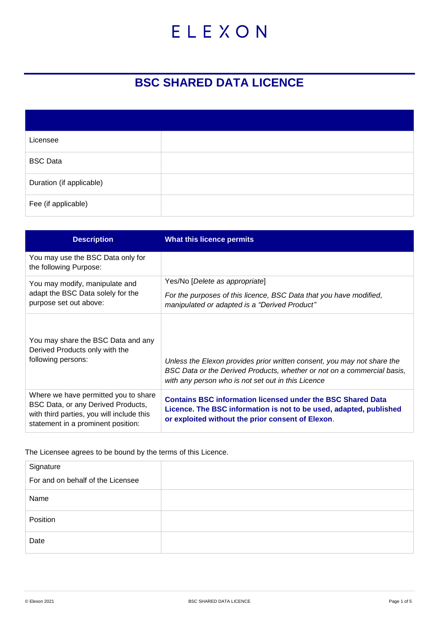# ELEXON

## **BSC SHARED DATA LICENCE**

| Licensee                 |  |
|--------------------------|--|
| <b>BSC Data</b>          |  |
| Duration (if applicable) |  |
| Fee (if applicable)      |  |

| <b>Description</b>                                                                                                                                            | What this licence permits                                                                                                                                                                                |
|---------------------------------------------------------------------------------------------------------------------------------------------------------------|----------------------------------------------------------------------------------------------------------------------------------------------------------------------------------------------------------|
| You may use the BSC Data only for<br>the following Purpose:                                                                                                   |                                                                                                                                                                                                          |
| You may modify, manipulate and<br>adapt the BSC Data solely for the<br>purpose set out above:                                                                 | Yes/No [ <i>Delete as appropriate</i> ]<br>For the purposes of this licence, BSC Data that you have modified,<br>manipulated or adapted is a "Derived Product"                                           |
| You may share the BSC Data and any<br>Derived Products only with the<br>following persons:                                                                    | Unless the Elexon provides prior written consent, you may not share the<br>BSC Data or the Derived Products, whether or not on a commercial basis,<br>with any person who is not set out in this Licence |
| Where we have permitted you to share<br>BSC Data, or any Derived Products,<br>with third parties, you will include this<br>statement in a prominent position: | <b>Contains BSC information licensed under the BSC Shared Data</b><br>Licence. The BSC information is not to be used, adapted, published<br>or exploited without the prior consent of Elexon.            |

The Licensee agrees to be bound by the terms of this Licence.

| Signature                         |  |
|-----------------------------------|--|
| For and on behalf of the Licensee |  |
| Name                              |  |
| Position                          |  |
| Date                              |  |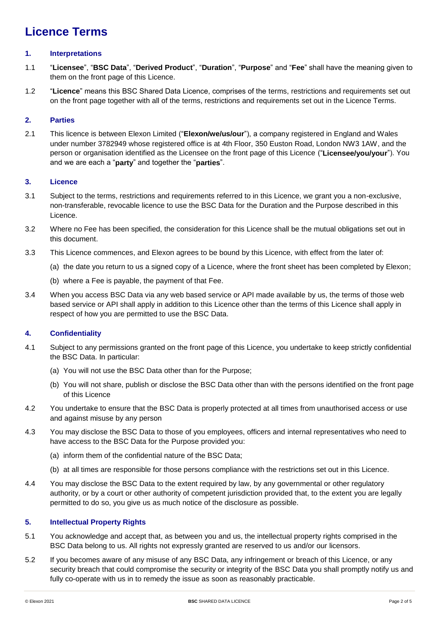### **Licence Terms**

#### **1. Interpretations**

- 1.1 "**Licensee**", "**BSC Data**", "**Derived Product**", "**Duration**", "**Purpose**" and "**Fee**" shall have the meaning given to them on the front page of this Licence.
- 1.2 "**Licence**" means this BSC Shared Data Licence, comprises of the terms, restrictions and requirements set out on the front page together with all of the terms, restrictions and requirements set out in the Licence Terms.

#### **2. Parties**

2.1 This licence is between Elexon Limited ("**Elexon/we/us/our**"), a company registered in England and Wales under number 3782949 whose registered office is at 4th Floor, 350 Euston Road, London NW3 1AW, and the person or organisation identified as the Licensee on the front page of this Licence ("**Licensee/you/your**"). You and we are each a "**party**" and together the "**parties**".

#### **3. Licence**

- 3.1 Subject to the terms, restrictions and requirements referred to in this Licence, we grant you a non-exclusive, non-transferable, revocable licence to use the BSC Data for the Duration and the Purpose described in this Licence.
- 3.2 Where no Fee has been specified, the consideration for this Licence shall be the mutual obligations set out in this document.
- 3.3 This Licence commences, and Elexon agrees to be bound by this Licence, with effect from the later of:
	- (a) the date you return to us a signed copy of a Licence, where the front sheet has been completed by Elexon;
	- (b) where a Fee is payable, the payment of that Fee.
- 3.4 When you access BSC Data via any web based service or API made available by us, the terms of those web based service or API shall apply in addition to this Licence other than the terms of this Licence shall apply in respect of how you are permitted to use the BSC Data.

#### **4. Confidentiality**

- 4.1 Subject to any permissions granted on the front page of this Licence, you undertake to keep strictly confidential the BSC Data. In particular:
	- (a) You will not use the BSC Data other than for the Purpose;
	- (b) You will not share, publish or disclose the BSC Data other than with the persons identified on the front page of this Licence
- 4.2 You undertake to ensure that the BSC Data is properly protected at all times from unauthorised access or use and against misuse by any person
- 4.3 You may disclose the BSC Data to those of you employees, officers and internal representatives who need to have access to the BSC Data for the Purpose provided you:
	- (a) inform them of the confidential nature of the BSC Data;
	- (b) at all times are responsible for those persons compliance with the restrictions set out in this Licence.
- 4.4 You may disclose the BSC Data to the extent required by law, by any governmental or other regulatory authority, or by a court or other authority of competent jurisdiction provided that, to the extent you are legally permitted to do so, you give us as much notice of the disclosure as possible.

#### **5. Intellectual Property Rights**

- 5.1 You acknowledge and accept that, as between you and us, the intellectual property rights comprised in the BSC Data belong to us. All rights not expressly granted are reserved to us and/or our licensors.
- 5.2 If you becomes aware of any misuse of any BSC Data, any infringement or breach of this Licence, or any security breach that could compromise the security or integrity of the BSC Data you shall promptly notify us and fully co-operate with us in to remedy the issue as soon as reasonably practicable.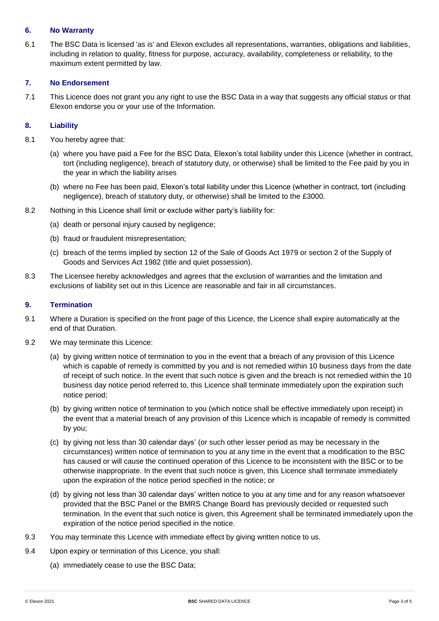#### **6. No Warranty**

6.1 The BSC Data is licensed 'as is' and Elexon excludes all representations, warranties, obligations and liabilities, including in relation to quality, fitness for purpose, accuracy, availability, completeness or reliability, to the maximum extent permitted by law.

#### **7. No Endorsement**

7.1 This Licence does not grant you any right to use the BSC Data in a way that suggests any official status or that Elexon endorse you or your use of the Information.

#### **8. Liability**

- 8.1 You hereby agree that:
	- (a) where you have paid a Fee for the BSC Data, Elexon's total liability under this Licence (whether in contract, tort (including negligence), breach of statutory duty, or otherwise) shall be limited to the Fee paid by you in the year in which the liability arises
	- (b) where no Fee has been paid, Elexon's total liability under this Licence (whether in contract, tort (including negligence), breach of statutory duty, or otherwise) shall be limited to the £3000.
- 8.2 Nothing in this Licence shall limit or exclude wither party's liability for:
	- (a) death or personal injury caused by negligence;
	- (b) fraud or fraudulent misrepresentation;
	- (c) breach of the terms implied by section 12 of the Sale of Goods Act 1979 or section 2 of the Supply of Goods and Services Act 1982 (title and quiet possession).
- 8.3 The Licensee hereby acknowledges and agrees that the exclusion of warranties and the limitation and exclusions of liability set out in this Licence are reasonable and fair in all circumstances.

#### **9. Termination**

- 9.1 Where a Duration is specified on the front page of this Licence, the Licence shall expire automatically at the end of that Duration.
- 9.2 We may terminate this Licence:
	- (a) by giving written notice of termination to you in the event that a breach of any provision of this Licence which is capable of remedy is committed by you and is not remedied within 10 business days from the date of receipt of such notice. In the event that such notice is given and the breach is not remedied within the 10 business day notice period referred to, this Licence shall terminate immediately upon the expiration such notice period;
	- (b) by giving written notice of termination to you (which notice shall be effective immediately upon receipt) in the event that a material breach of any provision of this Licence which is incapable of remedy is committed by you;
	- (c) by giving not less than 30 calendar days' (or such other lesser period as may be necessary in the circumstances) written notice of termination to you at any time in the event that a modification to the BSC has caused or will cause the continued operation of this Licence to be inconsistent with the BSC or to be otherwise inappropriate. In the event that such notice is given, this Licence shall terminate immediately upon the expiration of the notice period specified in the notice; or
	- (d) by giving not less than 30 calendar days' written notice to you at any time and for any reason whatsoever provided that the BSC Panel or the BMRS Change Board has previously decided or requested such termination. In the event that such notice is given, this Agreement shall be terminated immediately upon the expiration of the notice period specified in the notice.
- 9.3 You may terminate this Licence with immediate effect by giving written notice to us.
- 9.4 Upon expiry or termination of this Licence, you shall:
	- (a) immediately cease to use the BSC Data;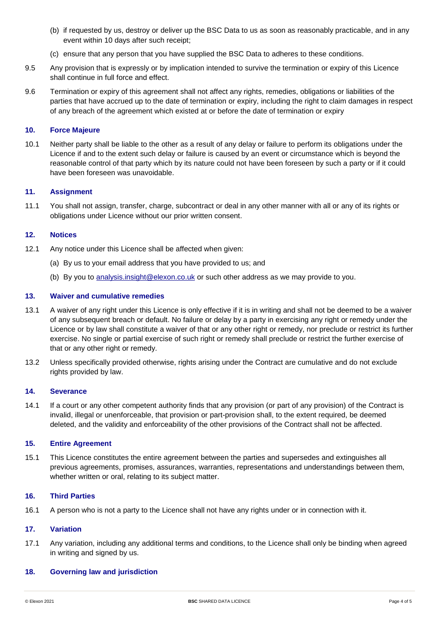- (b) if requested by us, destroy or deliver up the BSC Data to us as soon as reasonably practicable, and in any event within 10 days after such receipt;
- (c) ensure that any person that you have supplied the BSC Data to adheres to these conditions.
- 9.5 Any provision that is expressly or by implication intended to survive the termination or expiry of this Licence shall continue in full force and effect.
- 9.6 Termination or expiry of this agreement shall not affect any rights, remedies, obligations or liabilities of the parties that have accrued up to the date of termination or expiry, including the right to claim damages in respect of any breach of the agreement which existed at or before the date of termination or expiry

#### **10. Force Majeure**

10.1 Neither party shall be liable to the other as a result of any delay or failure to perform its obligations under the Licence if and to the extent such delay or failure is caused by an event or circumstance which is beyond the reasonable control of that party which by its nature could not have been foreseen by such a party or if it could have been foreseen was unavoidable.

#### **11. Assignment**

11.1 You shall not assign, transfer, charge, subcontract or deal in any other manner with all or any of its rights or obligations under Licence without our prior written consent.

#### **12. Notices**

- 12.1 Any notice under this Licence shall be affected when given:
	- (a) By us to your email address that you have provided to us; and
	- (b) By you to [analysis.insight@elexon.co.uk](mailto:analysis.insight@elexon.co.uk) or such other address as we may provide to you.

#### **13. Waiver and cumulative remedies**

- 13.1 A waiver of any right under this Licence is only effective if it is in writing and shall not be deemed to be a waiver of any subsequent breach or default. No failure or delay by a party in exercising any right or remedy under the Licence or by law shall constitute a waiver of that or any other right or remedy, nor preclude or restrict its further exercise. No single or partial exercise of such right or remedy shall preclude or restrict the further exercise of that or any other right or remedy.
- 13.2 Unless specifically provided otherwise, rights arising under the Contract are cumulative and do not exclude rights provided by law.

#### **14. Severance**

14.1 If a court or any other competent authority finds that any provision (or part of any provision) of the Contract is invalid, illegal or unenforceable, that provision or part-provision shall, to the extent required, be deemed deleted, and the validity and enforceability of the other provisions of the Contract shall not be affected.

#### **15. Entire Agreement**

15.1 This Licence constitutes the entire agreement between the parties and supersedes and extinguishes all previous agreements, promises, assurances, warranties, representations and understandings between them, whether written or oral, relating to its subject matter.

#### **16. Third Parties**

16.1 A person who is not a party to the Licence shall not have any rights under or in connection with it.

#### **17. Variation**

17.1 Any variation, including any additional terms and conditions, to the Licence shall only be binding when agreed in writing and signed by us.

#### **18. Governing law and jurisdiction**